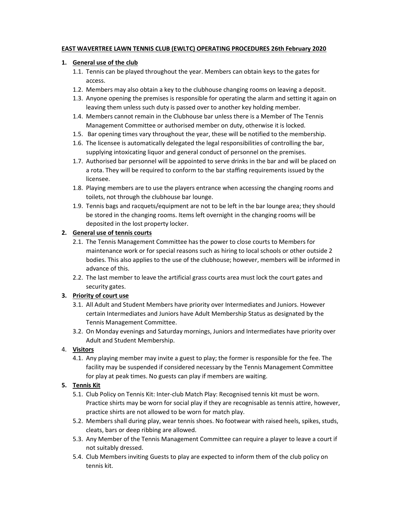### EAST WAVERTREE LAWN TENNIS CLUB (EWLTC) OPERATING PROCEDURES 26th February 2020

### 1. General use of the club

- 1.1. Tennis can be played throughout the year. Members can obtain keys to the gates for access.
- 1.2. Members may also obtain a key to the clubhouse changing rooms on leaving a deposit.
- 1.3. Anyone opening the premises is responsible for operating the alarm and setting it again on leaving them unless such duty is passed over to another key holding member.
- 1.4. Members cannot remain in the Clubhouse bar unless there is a Member of The Tennis Management Committee or authorised member on duty, otherwise it is locked.
- 1.5. Bar opening times vary throughout the year, these will be notified to the membership.
- 1.6. The licensee is automatically delegated the legal responsibilities of controlling the bar, supplying intoxicating liquor and general conduct of personnel on the premises.
- 1.7. Authorised bar personnel will be appointed to serve drinks in the bar and will be placed on a rota. They will be required to conform to the bar staffing requirements issued by the licensee.
- 1.8. Playing members are to use the players entrance when accessing the changing rooms and toilets, not through the clubhouse bar lounge.
- 1.9. Tennis bags and racquets/equipment are not to be left in the bar lounge area; they should be stored in the changing rooms. Items left overnight in the changing rooms will be deposited in the lost property locker.

# 2. General use of tennis courts

- 2.1. The Tennis Management Committee has the power to close courts to Members for maintenance work or for special reasons such as hiring to local schools or other outside 2 bodies. This also applies to the use of the clubhouse; however, members will be informed in advance of this.
- 2.2. The last member to leave the artificial grass courts area must lock the court gates and security gates.

# 3. Priority of court use

- 3.1. All Adult and Student Members have priority over Intermediates and Juniors. However certain Intermediates and Juniors have Adult Membership Status as designated by the Tennis Management Committee.
- 3.2. On Monday evenings and Saturday mornings, Juniors and Intermediates have priority over Adult and Student Membership.

# 4. Visitors

4.1. Any playing member may invite a guest to play; the former is responsible for the fee. The facility may be suspended if considered necessary by the Tennis Management Committee for play at peak times. No guests can play if members are waiting.

# 5. Tennis Kit

- 5.1. Club Policy on Tennis Kit: Inter-club Match Play: Recognised tennis kit must be worn. Practice shirts may be worn for social play if they are recognisable as tennis attire, however, practice shirts are not allowed to be worn for match play.
- 5.2. Members shall during play, wear tennis shoes. No footwear with raised heels, spikes, studs, cleats, bars or deep ribbing are allowed.
- 5.3. Any Member of the Tennis Management Committee can require a player to leave a court if not suitably dressed.
- 5.4. Club Members inviting Guests to play are expected to inform them of the club policy on tennis kit.